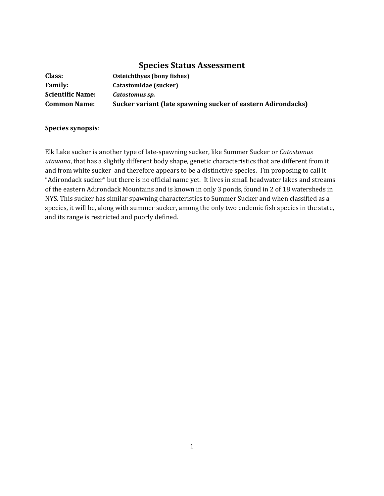# **Species Status Assessment**

| Class:                  | Osteichthyes (bony fishes)                                   |
|-------------------------|--------------------------------------------------------------|
| <b>Family:</b>          | Catastomidae (sucker)                                        |
| <b>Scientific Name:</b> | Catostomus sp.                                               |
| <b>Common Name:</b>     | Sucker variant (late spawning sucker of eastern Adirondacks) |

#### **Species synopsis**:

Elk Lake sucker is another type of late-spawning sucker, like Summer Sucker or *Catostomus utawana*, that has a slightly different body shape, genetic characteristics that are different from it and from white sucker and therefore appears to be a distinctive species. I'm proposing to call it "Adirondack sucker" but there is no official name yet. It lives in small headwater lakes and streams of the eastern Adirondack Mountains and is known in only 3 ponds, found in 2 of 18 watersheds in NYS. This sucker has similar spawning characteristics to Summer Sucker and when classified as a species, it will be, along with summer sucker, among the only two endemic fish species in the state, and its range is restricted and poorly defined.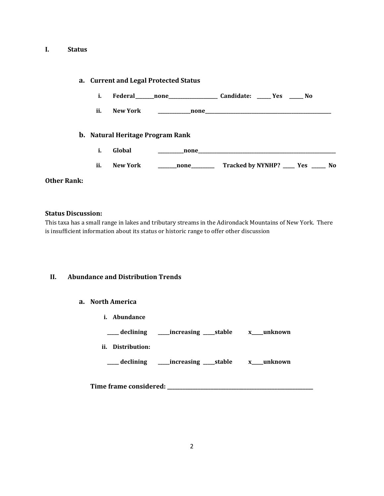#### **I. Status**

|                    |     |                 | a. Current and Legal Protected Status |                                                                                                                                                                                                                                |  |
|--------------------|-----|-----------------|---------------------------------------|--------------------------------------------------------------------------------------------------------------------------------------------------------------------------------------------------------------------------------|--|
|                    | i.  |                 |                                       | Federal none none Candidate: No                                                                                                                                                                                                |  |
|                    | ii. | New York        |                                       |                                                                                                                                                                                                                                |  |
|                    |     |                 | b. Natural Heritage Program Rank      |                                                                                                                                                                                                                                |  |
|                    | i.  | Global          |                                       | none expansion and the contract of the contract of the contract of the contract of the contract of the contract of the contract of the contract of the contract of the contract of the contract of the contract of the contrac |  |
|                    | ii. | <b>New York</b> | <b>none</b>                           | Tracked by NYNHP? ____ Yes _____ No                                                                                                                                                                                            |  |
| <b>Other Rank:</b> |     |                 |                                       |                                                                                                                                                                                                                                |  |

**Status Discussion:** This taxa has a small range in lakes and tributary streams in the Adirondack Mountains of New York. There is insufficient information about its status or historic range to offer other discussion

#### **II. Abundance and Distribution Trends**

#### **a. North America**

**i. Abundance**

| declining            |                         | x unknown |
|----------------------|-------------------------|-----------|
| ii.<br>Distribution: |                         |           |
| declining            | __increasing ____stable | x unknown |

**Time frame considered: \_\_\_\_\_\_\_\_\_\_\_\_\_\_\_\_\_\_\_\_\_\_\_\_\_\_\_\_\_\_\_\_\_\_\_\_\_\_\_\_\_\_\_\_\_\_\_\_\_\_\_\_\_\_\_\_\_**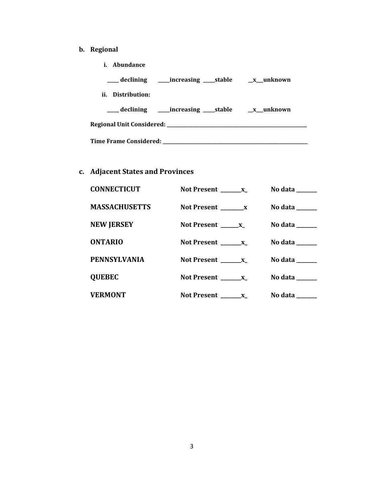# **b. Regional**

**i. Abundance**

| ___ declining _____ increasing _____ stable _______ x___ unknown |  |  |  |
|------------------------------------------------------------------|--|--|--|
| ii. Distribution:                                                |  |  |  |
|                                                                  |  |  |  |
|                                                                  |  |  |  |
| Time Frame Considered: ____________                              |  |  |  |

# **c. Adjacent States and Provinces**

| <b>CONNECTICUT</b>   | Not Present $\mathbf{x}$ | No data $\frac{1}{\sqrt{1-\frac{1}{2}}\cdot\frac{1}{\sqrt{1-\frac{1}{2}}}}$ |
|----------------------|--------------------------|-----------------------------------------------------------------------------|
| <b>MASSACHUSETTS</b> |                          | No data $\frac{1}{\sqrt{1-\frac{1}{2}}\cdot\frac{1}{\sqrt{1-\frac{1}{2}}}}$ |
| <b>NEW JERSEY</b>    | Not Present ________ x_  | No data $\_\_\_\_\_\_\_\_\_\_\_\$                                           |
| <b>ONTARIO</b>       | Not Present $\_\_\_x$    | No data $\_\_\_\_\_\_\_\_\_\_\_\_\$                                         |
| <b>PENNSYLVANIA</b>  | Not Present X            | No data $\_\_\_\_\_\_\_\_\_\_\_\_\$                                         |
| <b>QUEBEC</b>        |                          | No data $\_\_\_\_\_\_\_\_\_\_\_\_\$                                         |
| <b>VERMONT</b>       |                          | No data $\_\_\_\_\_\_\_\_\_\_\_\_\$                                         |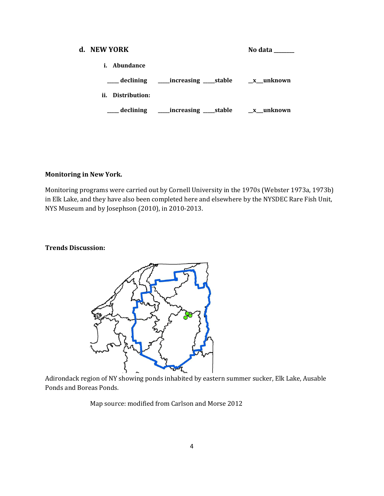# **d. NEW YORK No data \_\_\_\_\_\_ i. Abundance \_\_\_\_\_ declining \_\_\_\_\_increasing \_\_\_\_\_stable \_\_x\_\_\_unknown ii. Distribution: \_\_\_\_\_ declining \_\_\_\_\_increasing \_\_\_\_\_stable \_\_x\_\_\_unknown**

#### **Monitoring in New York.**

Monitoring programs were carried out by Cornell University in the 1970s (Webster 1973a, 1973b) in Elk Lake, and they have also been completed here and elsewhere by the NYSDEC Rare Fish Unit, NYS Museum and by Josephson (2010), in 2010-2013.

#### **Trends Discussion:**



Adirondack region of NY showing ponds inhabited by eastern summer sucker, Elk Lake, Ausable Ponds and Boreas Ponds.

Map source: modified from Carlson and Morse 2012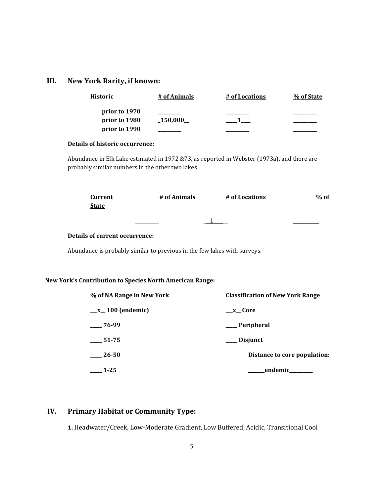# **III. New York Rarity, if known:**

| <b>Historic</b> | # of Animals | # of Locations | % of State |
|-----------------|--------------|----------------|------------|
| prior to 1970   |              |                |            |
| prior to 1980   | 150,000      |                |            |
| prior to 1990   |              |                |            |

#### **Details of historic occurrence:**

Abundance in Elk Lake estimated in 1972 &73, as reported in Webster (1973a), and there are probably similar numbers in the other two lakes

| <b>Current</b> | # of Animals | # of Locations | $%$ of |
|----------------|--------------|----------------|--------|
| <b>State</b>   |              |                |        |
|                |              |                |        |
|                |              |                |        |

#### **Details of current occurrence:**

Abundance is probably similar to previous in the few lakes with surveys.

#### **New York's Contribution to Species North American Range:**

| % of NA Range in New York | <b>Classification of New York Range</b> |
|---------------------------|-----------------------------------------|
| $\_\ x_100$ (endemic)     | $x_{c}$ Core                            |
| 76-99                     | Peripheral                              |
| 51-75                     | Disjunct                                |
| 26-50                     | Distance to core population:            |
| $1 - 25$                  | endemic_                                |

## **IV. Primary Habitat or Community Type:**

**1.** Headwater/Creek, Low-Moderate Gradient, Low Buffered, Acidic, Transitional Cool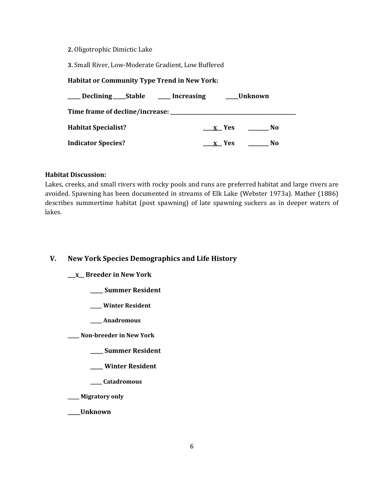#### **2.** Oligotrophic Dimictic Lake

**3.** Small River, Low-Moderate Gradient, Low Buffered

#### **Habitat or Community Type Trend in New York:**

| Declining Stable ____ Increasing |       | Unknown |
|----------------------------------|-------|---------|
|                                  |       |         |
| <b>Habitat Specialist?</b>       | x Yes | No      |
| <b>Indicator Species?</b>        | x Yes | No      |

#### **Habitat Discussion:**

Lakes, creeks, and small rivers with rocky pools and runs are preferred habitat and large rivers are avoided. Spawning has been documented in streams of Elk Lake (Webster 1973a). Mather (1886) describes summertime habitat (post spawning) of late spawning suckers as in deeper waters of lakes.

#### **V. New York Species Demographics and Life History**

#### **\_\_\_x\_\_ Breeder in New York**

- **\_\_\_\_\_ Summer Resident**
- **\_\_\_\_\_ Winter Resident**
- **\_\_\_\_\_ Anadromous**

**\_\_\_\_\_ Non-breeder in New York**

- **\_\_\_\_\_ Summer Resident**
- **\_\_\_\_\_ Winter Resident**
- **\_\_\_\_\_ Catadromous**
- **\_\_\_\_\_ Migratory only**
- **\_\_\_\_\_Unknown**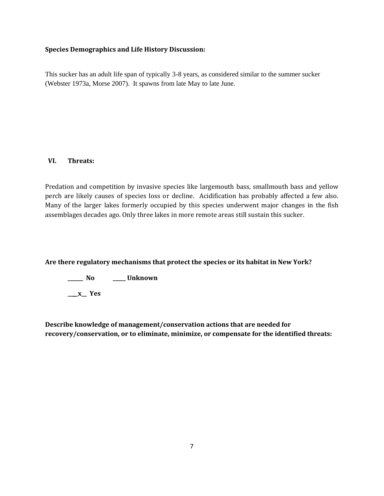#### **Species Demographics and Life History Discussion:**

This sucker has an adult life span of typically 3-8 years, as considered similar to the summer sucker (Webster 1973a, Morse 2007). It spawns from late May to late June.

#### **VI. Threats:**

Predation and competition by invasive species like largemouth bass, smallmouth bass and yellow perch are likely causes of species loss or decline. Acidification has probably affected a few also. Many of the larger lakes formerly occupied by this species underwent major changes in the fish assemblages decades ago. Only three lakes in more remote areas still sustain this sucker.

**Are there regulatory mechanisms that protect the species or its habitat in New York?**

**\_\_\_\_\_\_ No \_\_\_\_\_ Unknown**

**\_\_\_\_x\_\_ Yes** 

**Describe knowledge of management/conservation actions that are needed for recovery/conservation, or to eliminate, minimize, or compensate for the identified threats:**